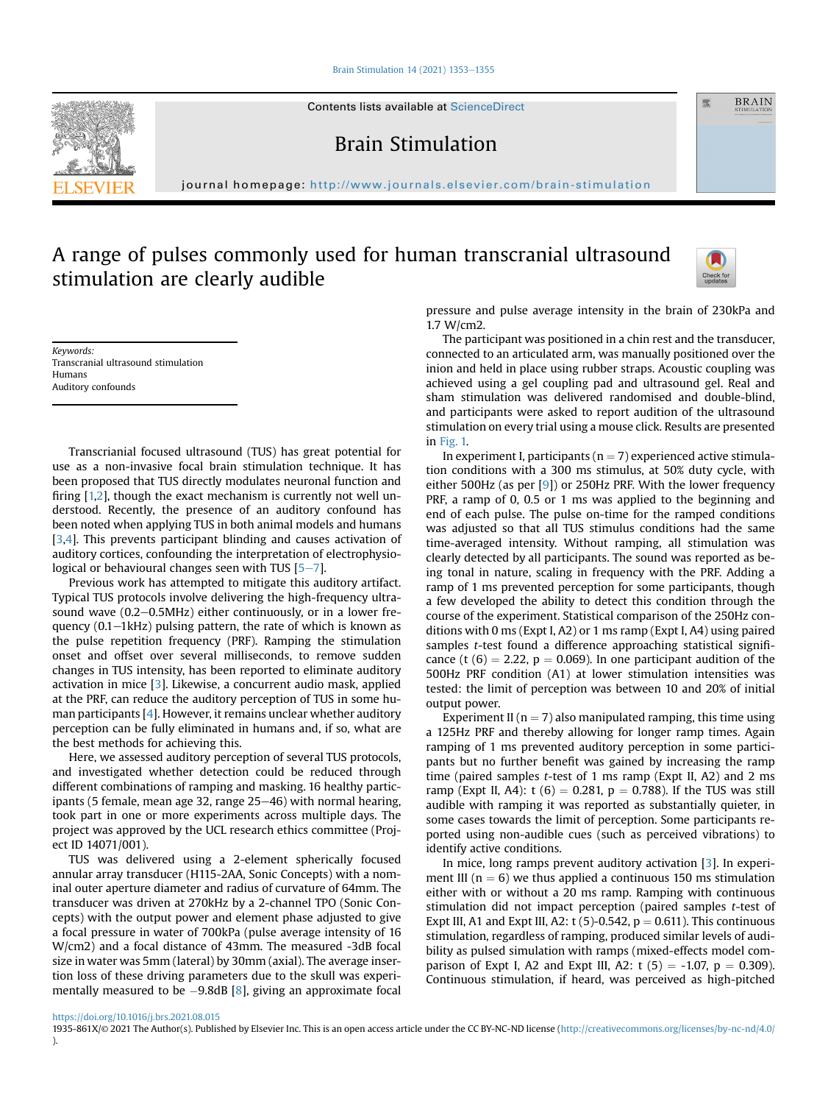#### [Brain Stimulation 14 \(2021\) 1353](https://doi.org/10.1016/j.brs.2021.08.015)-[1355](https://doi.org/10.1016/j.brs.2021.08.015)

Contents lists available at ScienceDirect

Brain Stimulation

journal homepage: <http://www.journals.elsevier.com/brain-stimulation>

# A range of pulses commonly used for human transcranial ultrasound stimulation are clearly audible



靈

**BRAIN** 

Keywords: Transcranial ultrasound stimulation Humans Auditory confounds

Transcrianial focused ultrasound (TUS) has great potential for use as a non-invasive focal brain stimulation technique. It has been proposed that TUS directly modulates neuronal function and firing [[1,](#page-2-0)[2](#page-2-1)], though the exact mechanism is currently not well understood. Recently, the presence of an auditory confound has been noted when applying TUS in both animal models and humans [[3](#page-2-2)[,4\]](#page-2-3). This prevents participant blinding and causes activation of auditory cortices, confounding the interpretation of electrophysiological or behavioural changes seen with TUS  $[5-7]$  $[5-7]$  $[5-7]$  $[5-7]$  $[5-7]$ .

Previous work has attempted to mitigate this auditory artifact. Typical TUS protocols involve delivering the high-frequency ultrasound wave  $(0.2-0.5$ MHz) either continuously, or in a lower frequency  $(0.1 - 1kHz)$  pulsing pattern, the rate of which is known as the pulse repetition frequency (PRF). Ramping the stimulation onset and offset over several milliseconds, to remove sudden changes in TUS intensity, has been reported to eliminate auditory activation in mice [\[3](#page-2-2)]. Likewise, a concurrent audio mask, applied at the PRF, can reduce the auditory perception of TUS in some human participants [[4](#page-2-3)]. However, it remains unclear whether auditory perception can be fully eliminated in humans and, if so, what are the best methods for achieving this.

Here, we assessed auditory perception of several TUS protocols, and investigated whether detection could be reduced through different combinations of ramping and masking. 16 healthy participants (5 female, mean age 32, range  $25-46$ ) with normal hearing, took part in one or more experiments across multiple days. The project was approved by the UCL research ethics committee (Project ID 14071/001).

TUS was delivered using a 2-element spherically focused annular array transducer (H115-2AA, Sonic Concepts) with a nominal outer aperture diameter and radius of curvature of 64mm. The transducer was driven at 270kHz by a 2-channel TPO (Sonic Concepts) with the output power and element phase adjusted to give a focal pressure in water of 700kPa (pulse average intensity of 16 W/cm2) and a focal distance of 43mm. The measured -3dB focal size in water was 5mm (lateral) by 30mm (axial). The average insertion loss of these driving parameters due to the skull was experimentally measured to be  $-9.8$  $-9.8$ dB [8], giving an approximate focal pressure and pulse average intensity in the brain of 230kPa and 1.7 W/cm2.

The participant was positioned in a chin rest and the transducer, connected to an articulated arm, was manually positioned over the inion and held in place using rubber straps. Acoustic coupling was achieved using a gel coupling pad and ultrasound gel. Real and sham stimulation was delivered randomised and double-blind, and participants were asked to report audition of the ultrasound stimulation on every trial using a mouse click. Results are presented in [Fig. 1.](#page-1-0)

In experiment I, participants ( $n = 7$ ) experienced active stimulation conditions with a 300 ms stimulus, at 50% duty cycle, with either 500Hz (as per [\[9](#page-2-6)]) or 250Hz PRF. With the lower frequency PRF, a ramp of 0, 0.5 or 1 ms was applied to the beginning and end of each pulse. The pulse on-time for the ramped conditions was adjusted so that all TUS stimulus conditions had the same time-averaged intensity. Without ramping, all stimulation was clearly detected by all participants. The sound was reported as being tonal in nature, scaling in frequency with the PRF. Adding a ramp of 1 ms prevented perception for some participants, though a few developed the ability to detect this condition through the course of the experiment. Statistical comparison of the 250Hz conditions with 0 ms (Expt I, A2) or 1 ms ramp (Expt I, A4) using paired samples t-test found a difference approaching statistical significance (t  $(6) = 2.22$ ,  $p = 0.069$ ). In one participant audition of the 500Hz PRF condition (A1) at lower stimulation intensities was tested: the limit of perception was between 10 and 20% of initial output power.

Experiment II ( $n = 7$ ) also manipulated ramping, this time using a 125Hz PRF and thereby allowing for longer ramp times. Again ramping of 1 ms prevented auditory perception in some participants but no further benefit was gained by increasing the ramp time (paired samples t-test of 1 ms ramp (Expt II, A2) and 2 ms ramp (Expt II, A4): t (6) = 0.281, p = 0.788). If the TUS was still audible with ramping it was reported as substantially quieter, in some cases towards the limit of perception. Some participants reported using non-audible cues (such as perceived vibrations) to identify active conditions.

In mice, long ramps prevent auditory activation [[3](#page-2-2)]. In experiment III ( $n = 6$ ) we thus applied a continuous 150 ms stimulation either with or without a 20 ms ramp. Ramping with continuous stimulation did not impact perception (paired samples t-test of Expt III, A1 and Expt III, A2: t (5)-0.542,  $p = 0.611$ ). This continuous stimulation, regardless of ramping, produced similar levels of audibility as pulsed simulation with ramps (mixed-effects model comparison of Expt I, A2 and Expt III, A2:  $t$  (5) = -1.07, p = 0.309). Continuous stimulation, if heard, was perceived as high-pitched

<https://doi.org/10.1016/j.brs.2021.08.015>

1935-861X/© 2021 The Author(s). Published by Elsevier Inc. This is an open access article under the CC BY-NC-ND license [\(http://creativecommons.org/licenses/by-nc-nd/4.0/](http://creativecommons.org/licenses/by-nc-nd/4.0/) ).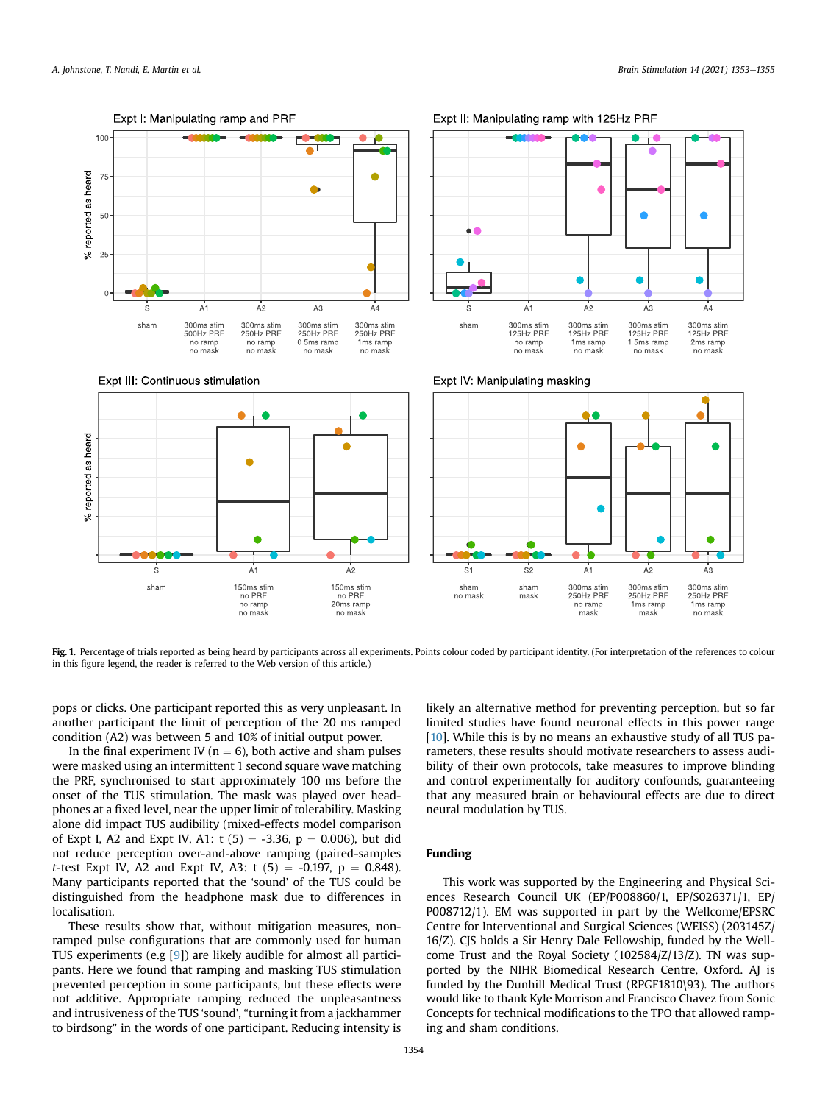<span id="page-1-0"></span>

Fig. 1. Percentage of trials reported as being heard by participants across all experiments. Points colour coded by participant identity. (For interpretation of the references to colour in this figure legend, the reader is referred to the Web version of this article.)

pops or clicks. One participant reported this as very unpleasant. In another participant the limit of perception of the 20 ms ramped condition (A2) was between 5 and 10% of initial output power.

In the final experiment IV ( $n = 6$ ), both active and sham pulses were masked using an intermittent 1 second square wave matching the PRF, synchronised to start approximately 100 ms before the onset of the TUS stimulation. The mask was played over headphones at a fixed level, near the upper limit of tolerability. Masking alone did impact TUS audibility (mixed-effects model comparison of Expt I, A2 and Expt IV, A1: t  $(5) = -3.36$ , p = 0.006), but did not reduce perception over-and-above ramping (paired-samples *t*-test Expt IV, A2 and Expt IV, A3:  $t(5) = -0.197$ ,  $p = 0.848$ ). Many participants reported that the 'sound' of the TUS could be distinguished from the headphone mask due to differences in localisation.

These results show that, without mitigation measures, nonramped pulse configurations that are commonly used for human TUS experiments (e.g [[9\]](#page-2-6)) are likely audible for almost all participants. Here we found that ramping and masking TUS stimulation prevented perception in some participants, but these effects were not additive. Appropriate ramping reduced the unpleasantness and intrusiveness of the TUS 'sound', "turning it from a jackhammer to birdsong" in the words of one participant. Reducing intensity is

likely an alternative method for preventing perception, but so far limited studies have found neuronal effects in this power range [[10\]](#page-2-7). While this is by no means an exhaustive study of all TUS parameters, these results should motivate researchers to assess audibility of their own protocols, take measures to improve blinding and control experimentally for auditory confounds, guaranteeing that any measured brain or behavioural effects are due to direct neural modulation by TUS.

# Funding

This work was supported by the Engineering and Physical Sciences Research Council UK (EP/P008860/1, EP/S026371/1, EP/ P008712/1). EM was supported in part by the Wellcome/EPSRC Centre for Interventional and Surgical Sciences (WEISS) (203145Z/ 16/Z). CJS holds a Sir Henry Dale Fellowship, funded by the Wellcome Trust and the Royal Society (102584/Z/13/Z). TN was supported by the NIHR Biomedical Research Centre, Oxford. AJ is funded by the Dunhill Medical Trust (RPGF1810\93). The authors would like to thank Kyle Morrison and Francisco Chavez from Sonic Concepts for technical modifications to the TPO that allowed ramping and sham conditions.